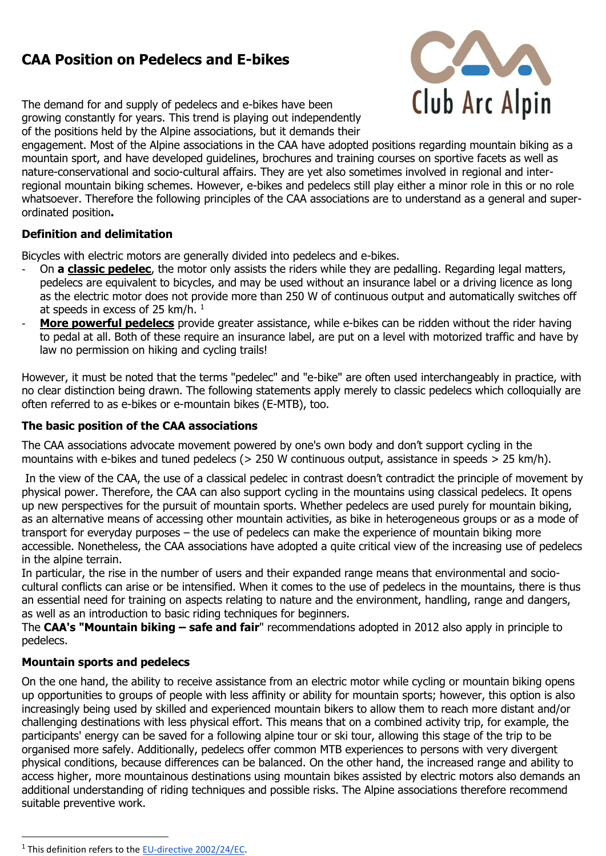# **CAA Position on Pedelecs and E-bikes**



The demand for and supply of pedelecs and e-bikes have been growing constantly for years. This trend is playing out independently of the positions held by the Alpine associations, but it demands their

engagement. Most of the Alpine associations in the CAA have adopted positions regarding mountain biking as a mountain sport, and have developed guidelines, brochures and training courses on sportive facets as well as nature-conservational and socio-cultural affairs. They are yet also sometimes involved in regional and interregional mountain biking schemes. However, e-bikes and pedelecs still play either a minor role in this or no role whatsoever. Therefore the following principles of the CAA associations are to understand as a general and superordinated position**.**

### **Definition and delimitation**

Bicycles with electric motors are generally divided into pedelecs and e-bikes.

- On **a classic pedelec**, the motor only assists the riders while they are pedalling. Regarding legal matters, pedelecs are equivalent to bicycles, and may be used without an insurance label or a driving licence as long as the electric motor does not provide more than 250 W of continuous output and automatically switches off at speeds in excess of 25 km/h.  $1$
- **More powerful pedelecs** provide greater assistance, while e-bikes can be ridden without the rider having to pedal at all. Both of these require an insurance label, are put on a level with motorized traffic and have by law no permission on hiking and cycling trails!

However, it must be noted that the terms "pedelec" and "e-bike" are often used interchangeably in practice, with no clear distinction being drawn. The following statements apply merely to classic pedelecs which colloquially are often referred to as e-bikes or e-mountain bikes (E-MTB), too.

## **The basic position of the CAA associations**

The CAA associations advocate movement powered by one's own body and don't support cycling in the mountains with e-bikes and tuned pedelecs (> 250 W continuous output, assistance in speeds > 25 km/h).

In the view of the CAA, the use of a classical pedelec in contrast doesn't contradict the principle of movement by physical power. Therefore, the CAA can also support cycling in the mountains using classical pedelecs. It opens up new perspectives for the pursuit of mountain sports. Whether pedelecs are used purely for mountain biking, as an alternative means of accessing other mountain activities, as bike in heterogeneous groups or as a mode of transport for everyday purposes – the use of pedelecs can make the experience of mountain biking more accessible. Nonetheless, the CAA associations have adopted a quite critical view of the increasing use of pedelecs in the alpine terrain.

In particular, the rise in the number of users and their expanded range means that environmental and sociocultural conflicts can arise or be intensified. When it comes to the use of pedelecs in the mountains, there is thus an essential need for training on aspects relating to nature and the environment, handling, range and dangers, as well as an introduction to basic riding techniques for beginners.

The **CAA's "Mountain biking – safe and fair**" recommendations adopted in 2012 also apply in principle to pedelecs.

### **Mountain sports and pedelecs**

On the one hand, the ability to receive assistance from an electric motor while cycling or mountain biking opens up opportunities to groups of people with less affinity or ability for mountain sports; however, this option is also increasingly being used by skilled and experienced mountain bikers to allow them to reach more distant and/or challenging destinations with less physical effort. This means that on a combined activity trip, for example, the participants' energy can be saved for a following alpine tour or ski tour, allowing this stage of the trip to be organised more safely. Additionally, pedelecs offer common MTB experiences to persons with very divergent physical conditions, because differences can be balanced. On the other hand, the increased range and ability to access higher, more mountainous destinations using mountain bikes assisted by electric motors also demands an additional understanding of riding techniques and possible risks. The Alpine associations therefore recommend suitable preventive work.

 $\overline{a}$ 

<sup>&</sup>lt;sup>1</sup> This definition refers to the [EU-directive 2002/24/EC.](http://eur-lex.europa.eu/legal-content/EN/TXT/?uri=CELEX%3A32002L0024)